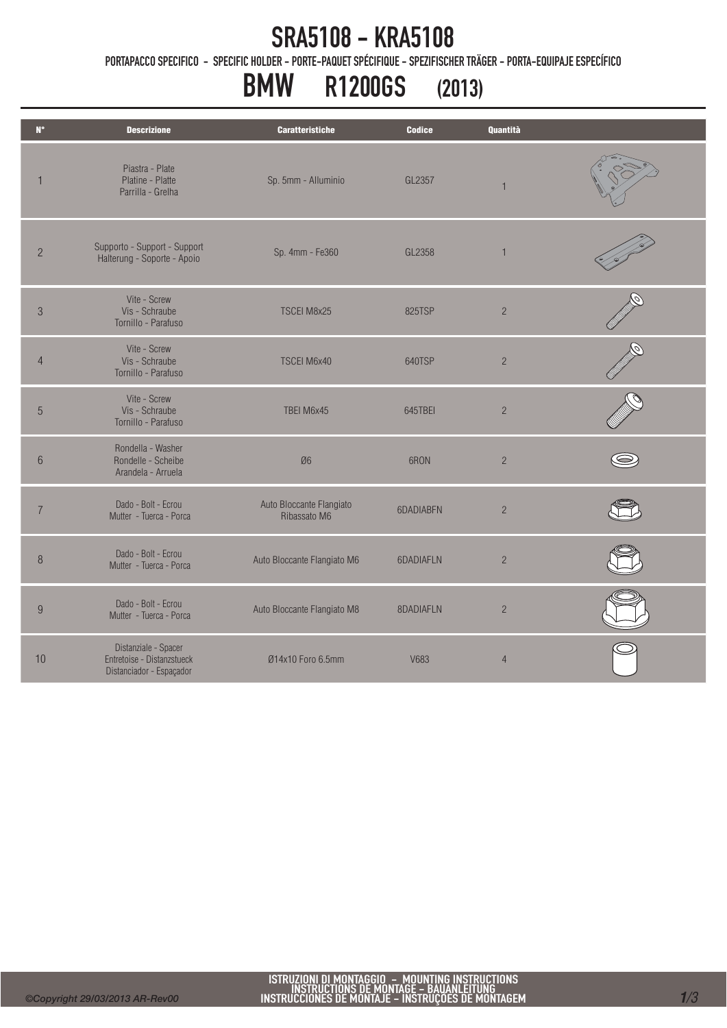### SRA5108 - KRA5108

PORTAPACCO SPECIFICO - SPECIFIC HOLDER - PORTE-PAQUET SPÉCIFIQUE - SPEZIFISCHER TRÄGER - PORTA-EQUIPAJE ESPECÍFICO

# BMW R1200GS (2013)

| $N^{\circ}$      | <b>Descrizione</b>                                                             | <b>Caratteristiche</b>                   | <b>Codice</b> | Quantità       |  |
|------------------|--------------------------------------------------------------------------------|------------------------------------------|---------------|----------------|--|
| $\mathbf{1}$     | Piastra - Plate<br>Platine - Platte<br>Parrilla - Grelha                       | Sp. 5mm - Alluminio                      | GL2357        | 1              |  |
| $\overline{2}$   | Supporto - Support - Support<br>Halterung - Soporte - Apoio                    | Sp. 4mm - Fe360                          | GL2358        | $\overline{1}$ |  |
| $\sqrt{3}$       | Vite - Screw<br>Vis - Schraube<br>Tornillo - Parafuso                          | TSCEI M8x25                              | 825TSP        | $\overline{2}$ |  |
| $\overline{4}$   | Vite - Screw<br>Vis - Schraube<br>Tornillo - Parafuso                          | TSCEI M6x40                              | 640TSP        | $\sqrt{2}$     |  |
| $\overline{5}$   | Vite - Screw<br>Vis - Schraube<br>Tornillo - Parafuso                          | TBEI M6x45                               | 645TBEI       | $\sqrt{2}$     |  |
| $6\,$            | Rondella - Washer<br>Rondelle - Scheibe<br>Arandela - Arruela                  | Ø6                                       | 6RON          | $\overline{c}$ |  |
| $\overline{7}$   | Dado - Bolt - Ecrou<br>Mutter - Tuerca - Porca                                 | Auto Bloccante Flangiato<br>Ribassato M6 | 6DADIABEN     | $\sqrt{2}$     |  |
| 8                | Dado - Bolt - Ecrou<br>Mutter - Tuerca - Porca                                 | Auto Bloccante Flangiato M6              | 6DADIAFLN     | $\sqrt{2}$     |  |
| $\boldsymbol{9}$ | Dado - Bolt - Ecrou<br>Mutter - Tuerca - Porca                                 | Auto Bloccante Flangiato M8              | 8DADIAFLN     | $\sqrt{2}$     |  |
| 10               | Distanziale - Spacer<br>Entretoise - Distanzstueck<br>Distanciador - Espaçador | Ø14x10 Foro 6.5mm                        | V683          | $\overline{4}$ |  |
|                  |                                                                                |                                          |               |                |  |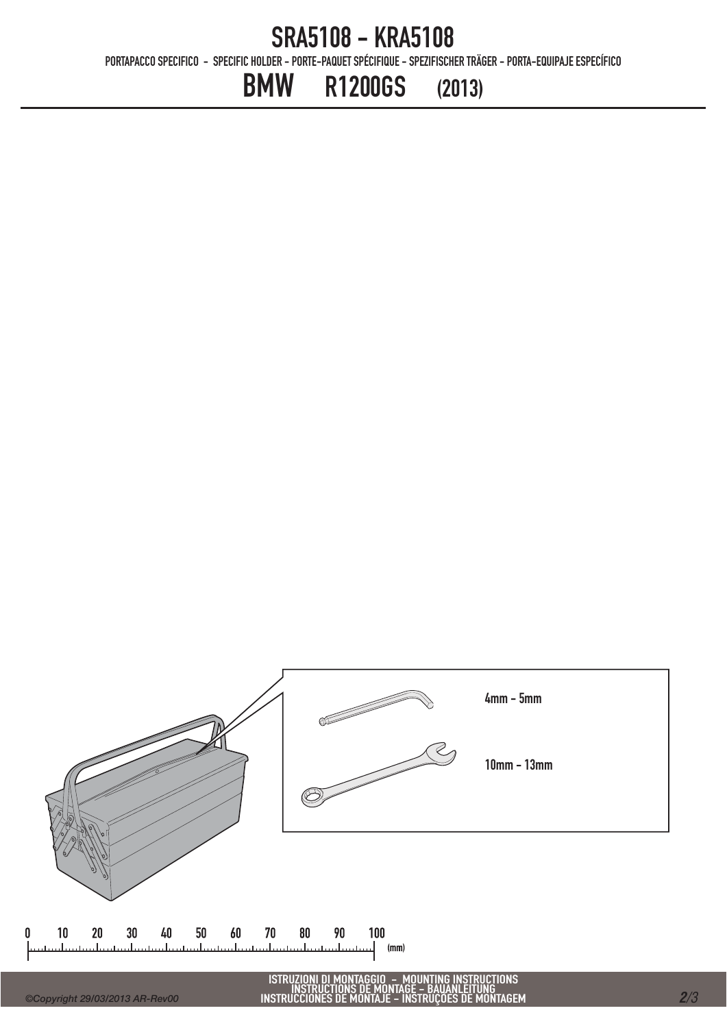#### SRA5108 - KRA5108

PORTAPACCO SPECIFICO - SPECIFIC HOLDER - PORTE-PAQUET SPÉCIFIQUE - SPEZIFISCHER TRÄGER - PORTA-EQUIPAJE ESPECÍFICO

## BMW R1200GS (2013)



*2/3*